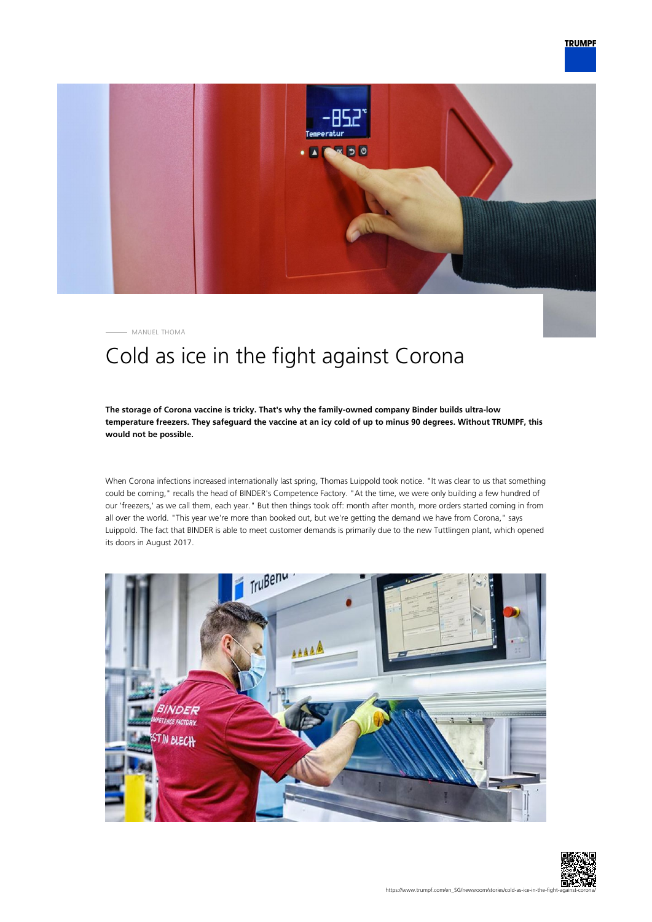

MANUEL THOMÄ

# Cold as ice in the fight against Corona

# **The storage of Corona vaccine is tricky. That's why the family-owned company Binder builds ultra-low temperature freezers. They safeguard the vaccine at an icy cold of up to minus 90 degrees. Without TRUMPF, this would not be possible.**

When Corona infections increased internationally last spring, Thomas Luippold took notice. "It was clear to us that something could be coming," recalls the head of BINDER's Competence Factory. "At the time, we were only building a few hundred of our 'freezers,' as we call them, each year." But then things took off: month after month, more orders started coming in from all over the world. "This year we're more than booked out, but we're getting the demand we have from Corona," says Luippold. The fact that BINDER is able to meet customer demands is primarily due to the new Tuttlingen plant, which opened its doors in August 2017.



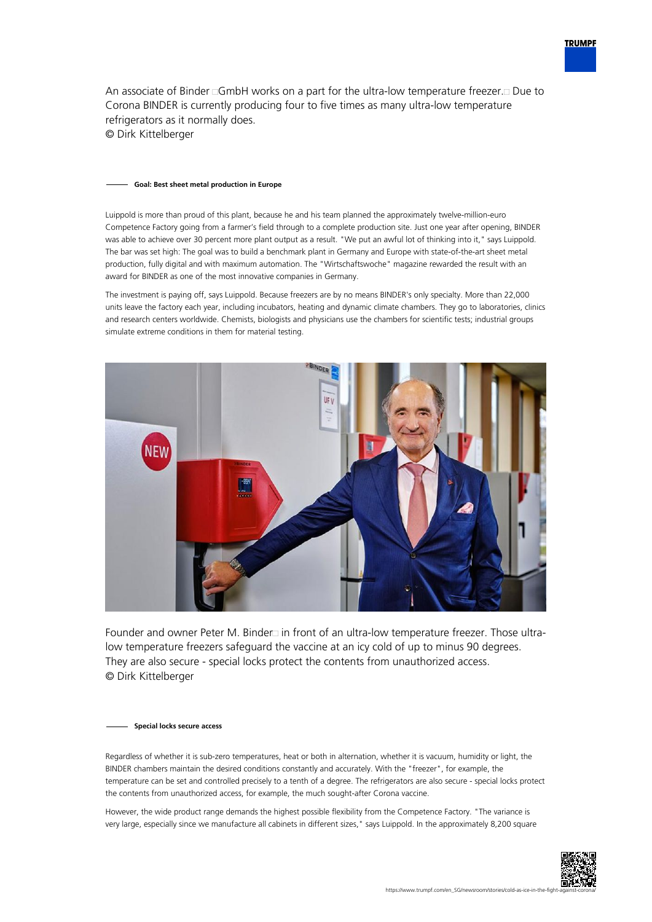

An associate of Binder  $\Box$ GmbH works on a part for the ultra-low temperature freezer. $\Box$  Due to Corona BINDER is currently producing four to five times as many ultra-low temperature refrigerators as it normally does. © Dirk Kittelberger

#### **Goal: Best sheet metal production in Europe**

Luippold is more than proud of this plant, because he and his team planned the approximately twelve-million-euro Competence Factory going from a farmer's field through to a complete production site. Just one year after opening, BINDER was able to achieve over 30 percent more plant output as a result. "We put an awful lot of thinking into it," says Luippold. The bar was set high: The goal was to build a benchmark plant in Germany and Europe with state-of-the-art sheet metal production, fully digital and with maximum automation. The "Wirtschaftswoche" magazine rewarded the result with an award for BINDER as one of the most innovative companies in Germany.

The investment is paying off, says Luippold. Because freezers are by no means BINDER's only specialty. More than 22,000 units leave the factory each year, including incubators, heating and dynamic climate chambers. They go to laboratories, clinics and research centers worldwide. Chemists, biologists and physicians use the chambers for scientific tests; industrial groups simulate extreme conditions in them for material testing.



Founder and owner Peter M. Binder in front of an ultra-low temperature freezer. Those ultralow temperature freezers safeguard the vaccine at an icy cold of up to minus 90 degrees. They are also secure - special locks protect the contents from unauthorized access. © Dirk Kittelberger

#### **Special locks secure access**

Regardless of whether it is sub-zero temperatures, heat or both in alternation, whether it is vacuum, humidity or light, the BINDER chambers maintain the desired conditions constantly and accurately. With the "freezer", for example, the temperature can be set and controlled precisely to a tenth of a degree. The refrigerators are also secure - special locks protect the contents from unauthorized access, for example, the much sought-after Corona vaccine.

However, the wide product range demands the highest possible flexibility from the Competence Factory. "The variance is very large, especially since we manufacture all cabinets in different sizes," says Luippold. In the approximately 8,200 square

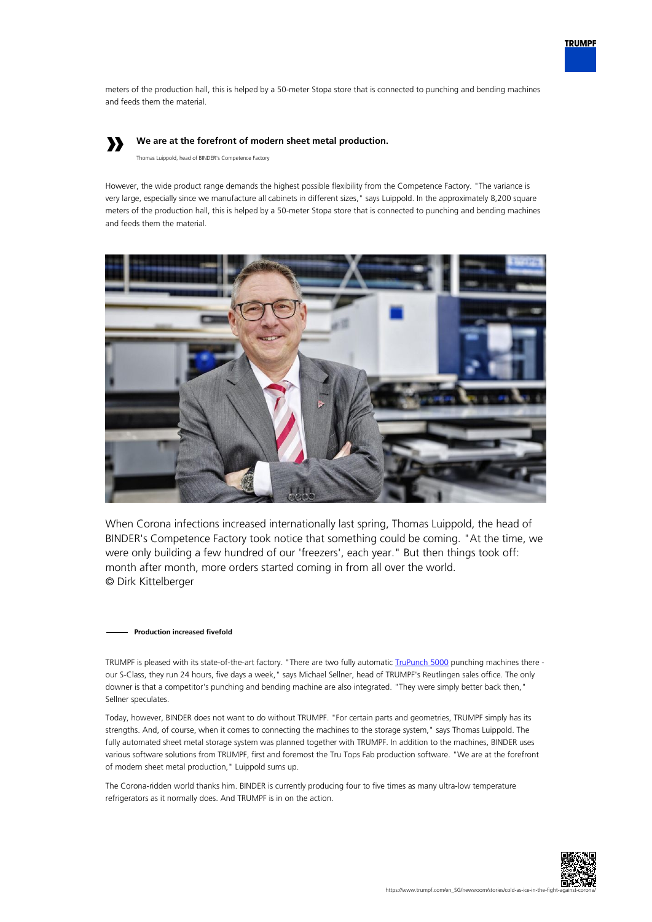

meters of the production hall, this is helped by a 50-meter Stopa store that is connected to punching and bending machines and feeds them the material.

# **»**

# **We are at the forefront of modern sheet metal production.**

Thomas Luippold, head of BINDER's Competence Factory

However, the wide product range demands the highest possible flexibility from the Competence Factory. "The variance is very large, especially since we manufacture all cabinets in different sizes," says Luippold. In the approximately 8,200 square meters of the production hall, this is helped by a 50-meter Stopa store that is connected to punching and bending machines and feeds them the material.



When Corona infections increased internationally last spring, Thomas Luippold, the head of BINDER's Competence Factory took notice that something could be coming. "At the time, we were only building a few hundred of our 'freezers', each year." But then things took off: month after month, more orders started coming in from all over the world. © Dirk Kittelberger

### **Production increased fivefold**

TRUMPF is pleased with its state-of-the-art factory. "There are two fully automatic *TruPunch 5000* punching machines there our S-Class, they run 24 hours, five days a week," says Michael Sellner, head of TRUMPF's Reutlingen sales office. The only downer is that a competitor's punching and bending machine are also integrated. "They were simply better back then," Sellner speculates.

Today, however, BINDER does not want to do without TRUMPF. "For certain parts and geometries, TRUMPF simply has its strengths. And, of course, when it comes to connecting the machines to the storage system," says Thomas Luippold. The fully automated sheet metal storage system was planned together with TRUMPF. In addition to the machines, BINDER uses various software solutions from TRUMPF, first and foremost the Tru Tops Fab production software. "We are at the forefront of modern sheet metal production," Luippold sums up.

The Corona-ridden world thanks him. BINDER is currently producing four to five times as many ultra-low temperature refrigerators as it normally does. And TRUMPF is in on the action.